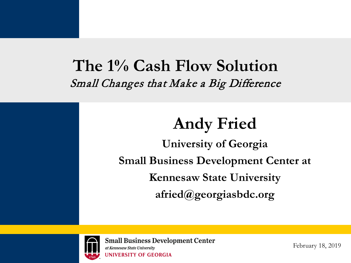### **The 1% Cash Flow Solution**  Small Changes that Make a Big Difference

## **Andy Fried**

**University of Georgia Small Business Development Center at Kennesaw State University afried@georgiasbdc.org**



**Small Business Development Center** at Kennesaw State University **UNIVERSITY OF GEORGIA** 

February 18, 2019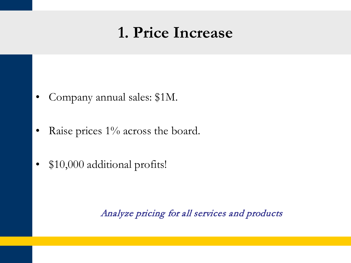## **1. Price Increase**

- Company annual sales: \$1M.
- Raise prices 1% across the board.
- \$10,000 additional profits!

Analyze pricing for all services and products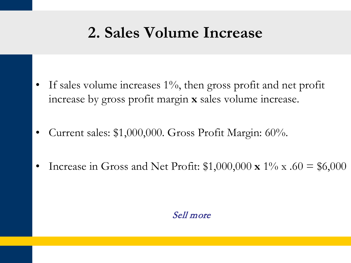# **2. Sales Volume Increase**

- If sales volume increases 1%, then gross profit and net profit increase by gross profit margin **x** sales volume increase.
- Current sales: \$1,000,000. Gross Profit Margin: 60%.
- Increase in Gross and Net Profit:  $$1,000,000 \times 1\% \times .60 = $6,000$

#### Sell more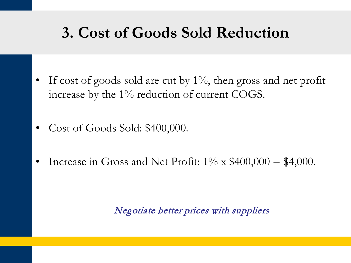# **3. Cost of Goods Sold Reduction**

- If cost of goods sold are cut by  $1\%$ , then gross and net profit increase by the 1% reduction of current COGS.
- Cost of Goods Sold: \$400,000.
- Increase in Gross and Net Profit:  $1\% \times \$400,000 = \$4,000$ .

#### Negotiate better prices with suppliers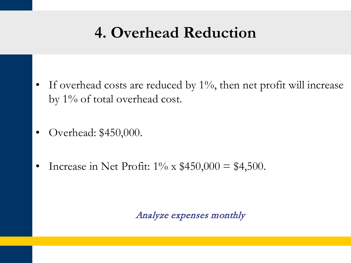# **4. Overhead Reduction**

- If overhead costs are reduced by  $1\%$ , then net profit will increase by 1% of total overhead cost.
- Overhead: \$450,000.
- Increase in Net Profit:  $1\% \times \$450,000 = \$4,500$ .

Analyze expenses monthly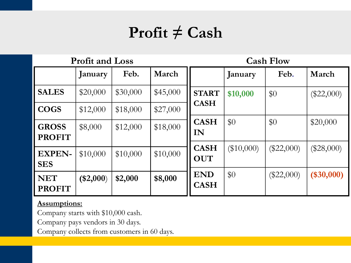# **Profit ≠ Cash**

|                               | <b>Profit and Loss</b> |          |          |                           |              | <b>Cash Flow</b> |              |
|-------------------------------|------------------------|----------|----------|---------------------------|--------------|------------------|--------------|
|                               | January                | Feb.     | March    |                           | January      | Feb.             | March        |
| <b>SALES</b>                  | \$20,000               | \$30,000 | \$45,000 | <b>START</b>              | \$10,000     | \$0              | $(\$22,000)$ |
| <b>COGS</b>                   | \$12,000               | \$18,000 | \$27,000 | <b>CASH</b>               |              |                  |              |
| <b>GROSS</b><br><b>PROFIT</b> | \$8,000                | \$12,000 | \$18,000 | <b>CASH</b><br>IN         | \$0          | \$0              | \$20,000     |
| <b>EXPEN-</b><br><b>SES</b>   | \$10,000               | \$10,000 | \$10,000 | <b>CASH</b><br><b>OUT</b> | $(\$10,000)$ | $(\$22,000)$     | $(\$28,000)$ |
| <b>NET</b><br><b>PROFIT</b>   | $(\$2,000)$            | \$2,000  | \$8,000  | <b>END</b><br><b>CASH</b> | \$0          | $(\$22,000)$     | $(\$30,000)$ |

#### **Assumptions:**

Company starts with \$10,000 cash.

Company pays vendors in 30 days.

Company collects from customers in 60 days.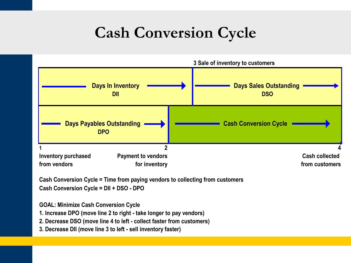# **Cash Conversion Cycle**



**Cash Conversion Cycle = Time from paying vendors to collecting from customers Cash Conversion Cycle = DII + DSO - DPO**

**GOAL: Minimize Cash Conversion Cycle**

**1. Increase DPO (move line 2 to right - take longer to pay vendors)**

**2. Decrease DSO (move line 4 to left - collect faster from customers)**

**3. Decrease DII (move line 3 to left - sell inventory faster)**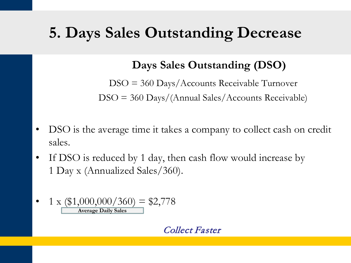# **5. Days Sales Outstanding Decrease**

### **Days Sales Outstanding (DSO)**

DSO = 360 Days/Accounts Receivable Turnover DSO = 360 Days/(Annual Sales/Accounts Receivable)

- DSO is the average time it takes a company to collect cash on credit sales.
- If DSO is reduced by 1 day, then cash flow would increase by 1 Day x (Annualized Sales/360).

• 
$$
1 \times (\$1,000,000/360) = \$2,778
$$
  
Average Daily Sales

#### Collect Faster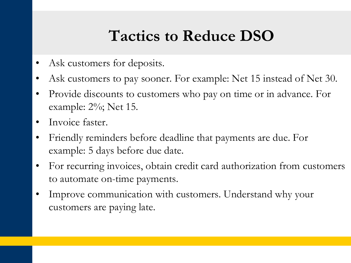# **Tactics to Reduce DSO**

- Ask customers for deposits.
- Ask customers to pay sooner. For example: Net 15 instead of Net 30.
- Provide discounts to customers who pay on time or in advance. For example: 2%; Net 15.
- Invoice faster.
- Friendly reminders before deadline that payments are due. For example: 5 days before due date.
- For recurring invoices, obtain credit card authorization from customers to automate on-time payments.
- Improve communication with customers. Understand why your customers are paying late.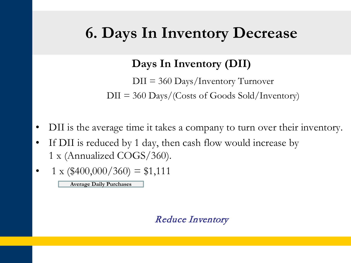## **6. Days In Inventory Decrease**

**Days In Inventory (DII)**

DII = 360 Days/Inventory Turnover  $DII = 360$  Days/(Costs of Goods Sold/Inventory)

- DII is the average time it takes a company to turn over their inventory.
- If DII is reduced by 1 day, then cash flow would increase by 1 x (Annualized COGS/360).
- $1 \times (\text{$}400,000/360) = \text{$}1,111$

**Average Daily Purchases**

#### Reduce Inventory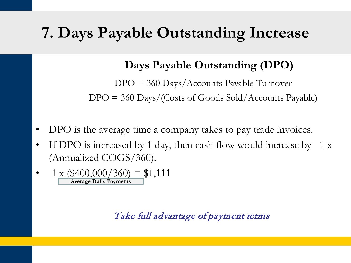## **7. Days Payable Outstanding Increase**

#### **Days Payable Outstanding (DPO)**

DPO = 360 Days/Accounts Payable Turnover  $DPO = 360$  Days/(Costs of Goods Sold/Accounts Payable)

- DPO is the average time a company takes to pay trade invoices.
- If DPO is increased by 1 day, then cash flow would increase by 1 x (Annualized COGS/360).
- 1 x ( $$400,000/360$ ) = \$1,111 **Average Daily Payments**

Take full advantage of payment terms